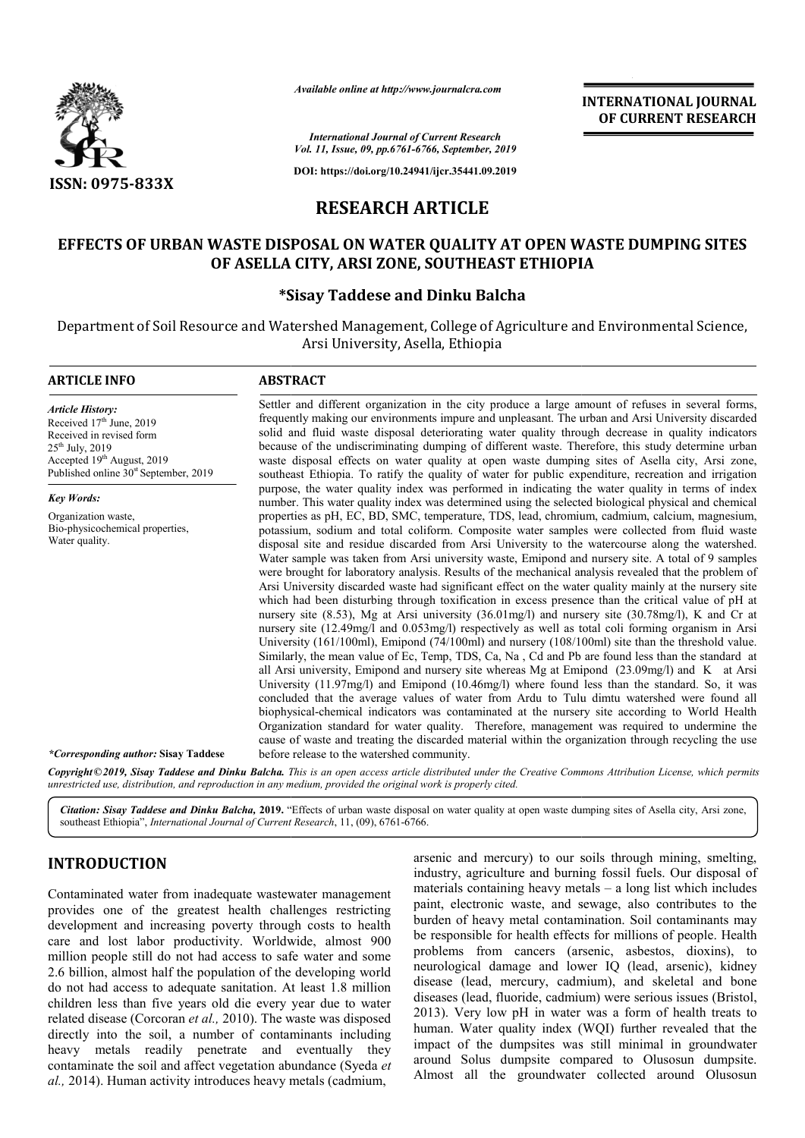

*Available online at http://www.journalcra.com*

**INTERNATIONAL JOURNAL OF CURRENT RESEARCH**

*International Journal of Current Research Vol. 11, Issue, 09, pp.6761-6766, September, 2019*

**DOI: https://doi.org/10.24941/ijcr.35441.09.2019**

# **RESEARCH ARTICLE**

# EFFECTS OF URBAN WASTE DISPOSAL ON WATER QUALITY AT OPEN WASTE DUMPING SITES<br>OF ASELLA CITY, ARSI ZONE, SOUTHEAST ETHIOPIA **OF ASELLA CITY, ARSI ZONE, SOUTHEAST ETHIOPIA**

## **\*Sisay Taddese and Dinku Balcha Sisay**

Department of Soil Resource and Watershed Management, College of Agriculture and Environmental Science, Arsi University, Asella, Ethiopia

## **ARTICLE INFO ABSTRACT**

*Article History:* Received 17<sup>th</sup> June, 2019 Received in revised form  $25^{th}$  July,  $2019$ Accepted 19<sup>th</sup> August, 2019 Published online 30<sup>st</sup> September, 2019

*Key Words:* Organization waste, Bio-physicochemical properties, Water quality.

Settler and different organization in the city produce a large amount of refuses in several forms, frequently making our environments impure and unpleasant. The urban and Arsi University discarded solid and fluid waste disposal deteriorating water quality through decrease in quality indicators because of the undiscriminating dumping of different waste. Therefore, this study determine urban waste disposal effects on water quality at open waste dumping sites of Asella city, Arsi zone, southeast Ethiopia. To ratify the quality of water for public expenditure, recreation and irrigation purpose, the water quality index was performed in indicating the water quality in terms of index number. This water quality index was determined using the selected biological physical and chemical properties as pH, EC, BD, SMC, temperature, TDS, lead, chromium, cadmium, calcium, magnesium, potassium, sodium and total coliform. Composite water samples were collected from fluid waste disposal site and residue discarded from Arsi Univ University to the watercourse along the watershed. Water sample was taken from Arsi university waste, Emipond and nursery site. A total of 9 samples were brought for laboratory analysis. Results of the mechanical analysis revealed that the problem of Arsi Univ University discarded waste had significant effect on the water quality mainly at the nursery site which had been disturbing through toxification in excess presence than the critical value of pH at nursery site (8.53), Mg at Arsi university (36.01mg/l) and nursery site (30.78mg/l), K and Cr at nursery site (12.49mg/l and 0.053mg/l) respectively as well as total coli forming organism in Arsi University (161/100ml), Emipond (74/100ml) and nursery (108/100ml) site than the threshold value. Similarly, the mean value of Ec, Temp, TDS, Ca, Na , Cd and Pb are found less than the standard at all Arsi university, Emipond and nursery site whereas Mg at Emipond (23.09mg/l) and K at Arsi University (11.97mg/l) and Emipond (10.46mg/l) where found less than the standard. So, it was concluded that the average values of water from Ardu to Tulu dimtu watershed were found all biophysical biophysical-chemical indicators was contaminated at the nursery site according to World Health Organization standard for water quality. Therefore, management was required to undermine the cause of waste and treating the discarded material within the organization through recycling the use before release to the watershed community. Settler and different organization in the city produce a large amount of refuses in several forms, frequently making our environments impure and unpleasant. The urban and Arsi University discarded solid and fluid waste dis properties as pH, EC, BD, SMC, temperature, TDS, lead, chromium, cadmium, calcium, magnesium, potassium, sodium and total coliform. Composite water samples were collected from fluid waste disposal site and residue discarde nursery site (12.49mg/l and 0.053mg/l) respectively as well as total coli forming organism in Arsi University (161/100ml), Emipond (74/100ml) and nursery (108/100ml) site than the threshold value. Similarly, the mean value concluded that the average values of water from Ardu to Tulu dimtu watershed were fo<br>biophysical-chemical indicators was contaminated at the nursery site according to World<br>Organization standard for water quality. Therefor INTERNATIONAL JOURNAL TOURNAL CONTERNATION (THE CONTEXT AND AND THE CONSULT AND AND (THE CONSULT AND 1999)<br>
AT OPEN WASTE DUMPING SITES THE CONSULT AND AND AND THE CONSULT AND AND INTERNATION CONSULT A change and Experime

*\*Corresponding author:* **Sisay Taddese**

Copyright©2019, Sisay Taddese and Dinku Balcha. This is an open access article distributed under the Creative Commons Attribution License, which permits *unrestricted use, distribution, and reproduction in any medium, provided the original work is properly cited.*

Citation: Sisay Taddese and Dinku Balcha, 2019. "Effects of urban waste disposal on water quality at open waste dumping sites of Asella city, Arsi zone, southeast Ethiopia", *International Journal of Current Research* , 11, (09), 6761-6766.

# **INTRODUCTION**

Contaminated water from inadequate wastewater management provides one of the greatest health challenges restricting development and increasing poverty through costs to health care and lost labor productivity. Worldwide, almost 900 million people still do not had access to safe water and some 2.6 billion, almost half the population of the developing world do not had access to adequate sanitation. At least 1.8 million children less than five years old die every year due to water related disease (Corcoran *et al.,* 2010). The waste was disposed directly into the soil, a number of contaminants including heavy metals readily penetrate and eventually they contaminate the soil and affect vegetation abundance (Syeda *et*  al., 2014). Human activity introduces heavy metals (cadmium,

arsenic and mercury) to our soils through mining, smelting, industry, agriculture and burning fossil fuels. Our disposal of materials containing heavy metals  $-$  a long list which includes paint, electronic waste, and sewage, also contributes to the burden of heavy metal contamination. Soil contaminants may be responsible for health effects for millions of people. Health problems from cancers (arsenic, asbestos, dioxins), to neurological damage and lower IQ (lead, arsenic), kidney disease (lead, mercury, cadmium), and skeletal and bone diseases (lead, fluoride, cadmium) were serious issues (Bristol, 2013). Very low pH in water was a form of health treats to human. Water quality index (WOI) further revealed that the diseases (lead, fluoride, cadmium) were serious issues (Bristol, 2013). Very low pH in water was a form of health treats to human. Water quality index (WQI) further revealed that the impact of the dumpsites was still minim around Solus dumpsite compared to Olusosun dumpsite. Almost all the groundwater collected around Olusosun through mining, smelting,<br>fossil fuels. Our disposal of<br>- a long list which includes paint, electronic waste, and sewage, also contributes to the burden of heavy metal contamination. Soil contaminants may be responsible for health effects for millions of people. Health problems from cancers (arsenic, asbes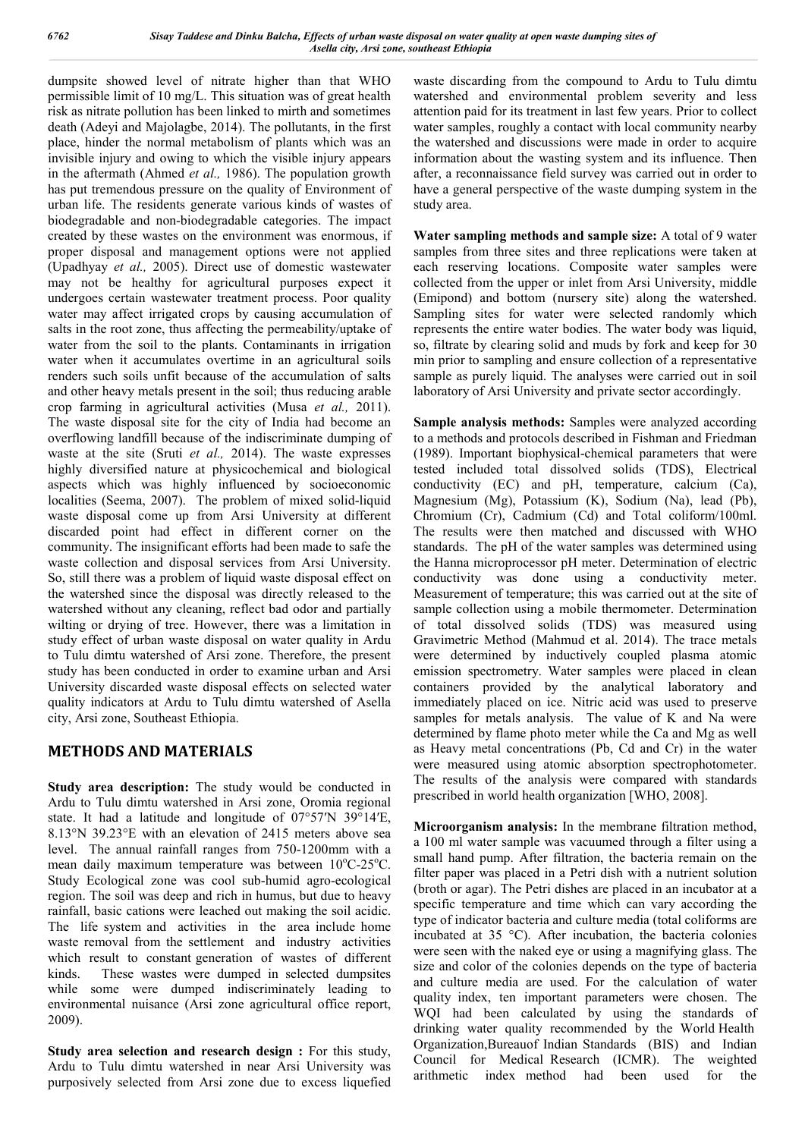dumpsite showed level of nitrate higher than that WHO permissible limit of 10 mg/L. This situation was of great health risk as nitrate pollution has been linked to mirth and sometimes death (Adeyi and Majolagbe, 2014). The pollutants, in the first place, hinder the normal metabolism of plants which was an invisible injury and owing to which the visible injury appears in the aftermath (Ahmed *et al.,* 1986). The population growth has put tremendous pressure on the quality of Environment of urban life. The residents generate various kinds of wastes of biodegradable and non-biodegradable categories. The impact created by these wastes on the environment was enormous, if proper disposal and management options were not applied (Upadhyay *et al.,* 2005). Direct use of domestic wastewater may not be healthy for agricultural purposes expect it undergoes certain wastewater treatment process. Poor quality water may affect irrigated crops by causing accumulation of salts in the root zone, thus affecting the permeability/uptake of water from the soil to the plants. Contaminants in irrigation water when it accumulates overtime in an agricultural soils renders such soils unfit because of the accumulation of salts and other heavy metals present in the soil; thus reducing arable crop farming in agricultural activities (Musa *et al.,* 2011). The waste disposal site for the city of India had become an overflowing landfill because of the indiscriminate dumping of waste at the site (Sruti *et al.,* 2014). The waste expresses highly diversified nature at physicochemical and biological aspects which was highly influenced by socioeconomic localities (Seema, 2007). The problem of mixed solid-liquid waste disposal come up from Arsi University at different discarded point had effect in different corner on the community. The insignificant efforts had been made to safe the waste collection and disposal services from Arsi University. So, still there was a problem of liquid waste disposal effect on the watershed since the disposal was directly released to the watershed without any cleaning, reflect bad odor and partially wilting or drying of tree. However, there was a limitation in study effect of urban waste disposal on water quality in Ardu to Tulu dimtu watershed of Arsi zone. Therefore, the present study has been conducted in order to examine urban and Arsi University discarded waste disposal effects on selected water quality indicators at Ardu to Tulu dimtu watershed of Asella city, Arsi zone, Southeast Ethiopia.

# **METHODS AND MATERIALS**

**Study area description:** The study would be conducted in Ardu to Tulu dimtu watershed in Arsi zone, Oromia regional state. It had a latitude and longitude of 07°57′N 39°14′E, 8.13°N 39.23°E with an elevation of 2415 meters above sea level. The annual rainfall ranges from 750-1200mm with a mean daily maximum temperature was between 10°C-25°C. Study Ecological zone was cool sub-humid agro-ecological region. The soil was deep and rich in humus, but due to heavy rainfall, basic cations were leached out making the soil acidic. The life system and activities in the area include home waste removal from the settlement and industry activities which result to constant generation of wastes of different kinds. These wastes were dumped in selected dumpsites while some were dumped indiscriminately leading to environmental nuisance (Arsi zone agricultural office report, 2009).

**Study area selection and research design :** For this study, Ardu to Tulu dimtu watershed in near Arsi University was purposively selected from Arsi zone due to excess liquefied waste discarding from the compound to Ardu to Tulu dimtu watershed and environmental problem severity and less attention paid for its treatment in last few years. Prior to collect water samples, roughly a contact with local community nearby the watershed and discussions were made in order to acquire information about the wasting system and its influence. Then after, a reconnaissance field survey was carried out in order to have a general perspective of the waste dumping system in the study area.

**Water sampling methods and sample size:** A total of 9 water samples from three sites and three replications were taken at each reserving locations. Composite water samples were collected from the upper or inlet from Arsi University, middle (Emipond) and bottom (nursery site) along the watershed. Sampling sites for water were selected randomly which represents the entire water bodies. The water body was liquid, so, filtrate by clearing solid and muds by fork and keep for 30 min prior to sampling and ensure collection of a representative sample as purely liquid. The analyses were carried out in soil laboratory of Arsi University and private sector accordingly.

**Sample analysis methods:** Samples were analyzed according to a methods and protocols described in Fishman and Friedman (1989). Important biophysical-chemical parameters that were tested included total dissolved solids (TDS), Electrical conductivity (EC) and pH, temperature, calcium (Ca), Magnesium (Mg), Potassium (K), Sodium (Na), lead (Pb), Chromium (Cr), Cadmium (Cd) and Total coliform/100ml. The results were then matched and discussed with WHO standards. The pH of the water samples was determined using the Hanna microprocessor pH meter. Determination of electric conductivity was done using a conductivity meter. Measurement of temperature; this was carried out at the site of sample collection using a mobile thermometer. Determination of total dissolved solids (TDS) was measured using Gravimetric Method (Mahmud et al. 2014). The trace metals were determined by inductively coupled plasma atomic emission spectrometry. Water samples were placed in clean containers provided by the analytical laboratory and immediately placed on ice. Nitric acid was used to preserve samples for metals analysis. The value of K and Na were determined by flame photo meter while the Ca and Mg as well as Heavy metal concentrations (Pb, Cd and Cr) in the water were measured using atomic absorption spectrophotometer. The results of the analysis were compared with standards prescribed in world health organization [WHO, 2008].

**Microorganism analysis:** In the membrane filtration method, a 100 ml water sample was vacuumed through a filter using a small hand pump. After filtration, the bacteria remain on the filter paper was placed in a Petri dish with a nutrient solution (broth or agar). The Petri dishes are placed in an incubator at a specific temperature and time which can vary according the type of indicator bacteria and culture media (total coliforms are incubated at 35 °C). After incubation, the bacteria colonies were seen with the naked eye or using a magnifying glass. The size and color of the colonies depends on the type of bacteria and culture media are used. For the calculation of water quality index, ten important parameters were chosen. The WQI had been calculated by using the standards of drinking water quality recommended by the World Health Organization,Bureauof Indian Standards (BIS) and Indian Council for Medical Research (ICMR). The weighted arithmetic index method had been used for the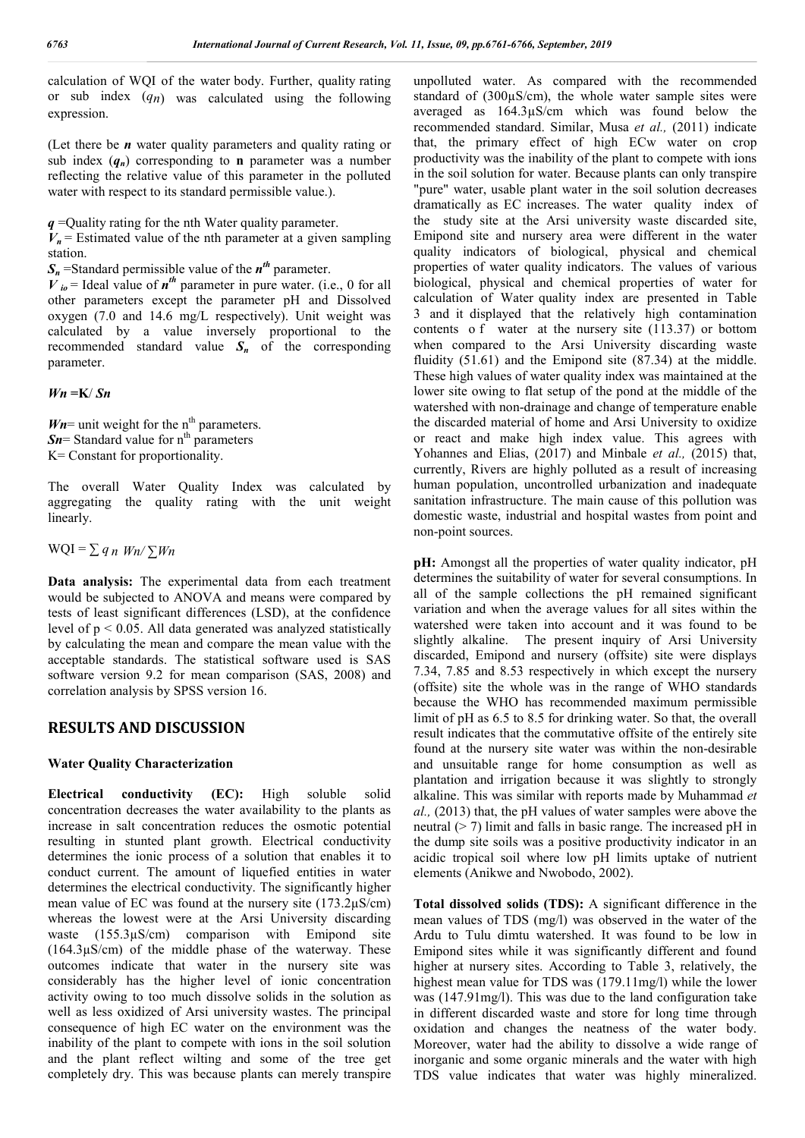calculation of WQI of the water body. Further, quality rating or sub index (*qn*) was calculated using the following expression.

(Let there be *n* water quality parameters and quality rating or sub index  $(q_n)$  corresponding to **n** parameter was a number reflecting the relative value of this parameter in the polluted water with respect to its standard permissible value.).

*q* =Quality rating for the nth Water quality parameter.

 $V_n$  = Estimated value of the nth parameter at a given sampling station.

 $S_n$  =Standard permissible value of the  $n^{th}$  parameter.

 $V_{i0}$  = Ideal value of  $n^{th}$  parameter in pure water. (i.e., 0 for all other parameters except the parameter pH and Dissolved oxygen (7.0 and 14.6 mg/L respectively). Unit weight was calculated by a value inversely proportional to the recommended standard value  $S_n$  of the corresponding parameter.

*Wn* **=K**/ *Sn*

 $Wn$ = unit weight for the n<sup>th</sup> parameters.  $Sn =$  Standard value for  $n<sup>th</sup>$  parameters K= Constant for proportionality.

The overall Water Quality Index was calculated by aggregating the quality rating with the unit weight linearly.

 $WQI = \sum q_n W_n / \sum W_n$ 

**Data analysis:** The experimental data from each treatment would be subjected to ANOVA and means were compared by tests of least significant differences (LSD), at the confidence level of  $p < 0.05$ . All data generated was analyzed statistically by calculating the mean and compare the mean value with the acceptable standards. The statistical software used is SAS software version 9.2 for mean comparison (SAS, 2008) and correlation analysis by SPSS version 16.

## **RESULTS AND DISCUSSION**

## **Water Quality Characterization**

**Electrical conductivity (EC):** High soluble solid concentration decreases the water availability to the plants as increase in salt concentration reduces the osmotic potential resulting in stunted plant growth. Electrical conductivity determines the ionic process of a solution that enables it to conduct current. The amount of liquefied entities in water determines the electrical conductivity. The significantly higher mean value of EC was found at the nursery site (173.2µS/cm) whereas the lowest were at the Arsi University discarding waste (155.3µS/cm) comparison with Emipond site (164.3µS/cm) of the middle phase of the waterway. These outcomes indicate that water in the nursery site was considerably has the higher level of ionic concentration activity owing to too much dissolve solids in the solution as well as less oxidized of Arsi university wastes. The principal consequence of high EC water on the environment was the inability of the plant to compete with ions in the soil solution and the plant reflect wilting and some of the tree get completely dry. This was because plants can merely transpire unpolluted water. As compared with the recommended standard of (300µS/cm), the whole water sample sites were averaged as 164.3µS/cm which was found below the recommended standard. Similar, Musa *et al.,* (2011) indicate that, the primary effect of high ECw water on crop productivity was the inability of the plant to compete with ions in the soil solution for water. Because plants can only transpire "pure" water, usable plant water in the soil solution decreases dramatically as EC increases. The water quality index of the study site at the Arsi university waste discarded site, Emipond site and nursery area were different in the water quality indicators of biological, physical and chemical properties of water quality indicators. The values of various biological, physical and chemical properties of water for calculation of Water quality index are presented in Table 3 and it displayed that the relatively high contamination contents o f water at the nursery site (113.37) or bottom when compared to the Arsi University discarding waste fluidity (51.61) and the Emipond site (87.34) at the middle. These high values of water quality index was maintained at the lower site owing to flat setup of the pond at the middle of the watershed with non-drainage and change of temperature enable the discarded material of home and Arsi University to oxidize or react and make high index value. This agrees with Yohannes and Elias, (2017) and Minbale *et al.,* (2015) that, currently, Rivers are highly polluted as a result of increasing human population, uncontrolled urbanization and inadequate sanitation infrastructure. The main cause of this pollution was domestic waste, industrial and hospital wastes from point and non-point sources.

**pH:** Amongst all the properties of water quality indicator, pH determines the suitability of water for several consumptions. In all of the sample collections the pH remained significant variation and when the average values for all sites within the watershed were taken into account and it was found to be slightly alkaline. The present inquiry of Arsi University discarded, Emipond and nursery (offsite) site were displays 7.34, 7.85 and 8.53 respectively in which except the nursery (offsite) site the whole was in the range of WHO standards because the WHO has recommended maximum permissible limit of pH as 6.5 to 8.5 for drinking water. So that, the overall result indicates that the commutative offsite of the entirely site found at the nursery site water was within the non-desirable and unsuitable range for home consumption as well as plantation and irrigation because it was slightly to strongly alkaline. This was similar with reports made by Muhammad *et al.,* (2013) that, the pH values of water samples were above the neutral (> 7) limit and falls in basic range. The increased pH in the dump site soils was a positive productivity indicator in an acidic tropical soil where low pH limits uptake of nutrient elements (Anikwe and Nwobodo, 2002).

**Total dissolved solids (TDS):** A significant difference in the mean values of TDS (mg/l) was observed in the water of the Ardu to Tulu dimtu watershed. It was found to be low in Emipond sites while it was significantly different and found higher at nursery sites. According to Table 3, relatively, the highest mean value for TDS was (179.11mg/l) while the lower was (147.91mg/l). This was due to the land configuration take in different discarded waste and store for long time through oxidation and changes the neatness of the water body. Moreover, water had the ability to dissolve a wide range of inorganic and some organic minerals and the water with high TDS value indicates that water was highly mineralized.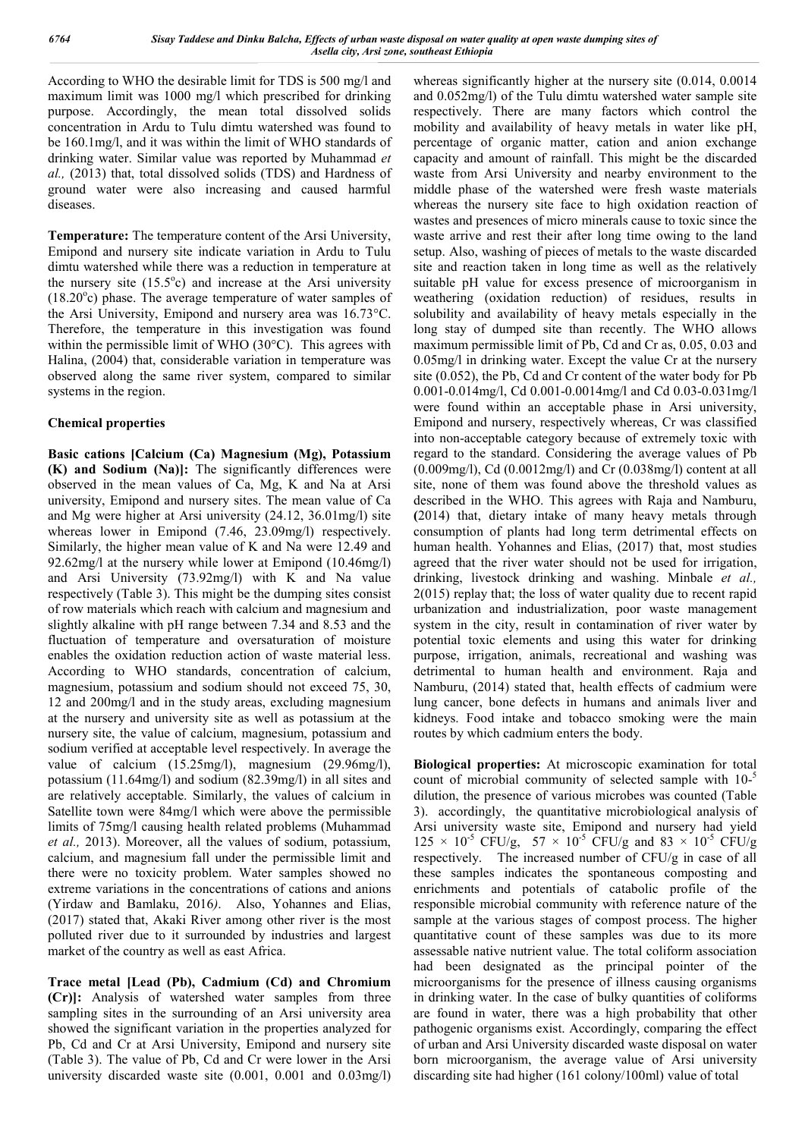According to WHO the desirable limit for TDS is 500 mg/l and maximum limit was 1000 mg/l which prescribed for drinking purpose. Accordingly, the mean total dissolved solids concentration in Ardu to Tulu dimtu watershed was found to be 160.1mg/l, and it was within the limit of WHO standards of drinking water. Similar value was reported by Muhammad *et al.,* (2013) that, total dissolved solids (TDS) and Hardness of ground water were also increasing and caused harmful diseases.

**Temperature:** The temperature content of the Arsi University, Emipond and nursery site indicate variation in Ardu to Tulu dimtu watershed while there was a reduction in temperature at the nursery site  $(15.5^{\circ}c)$  and increase at the Arsi university (18.20°c) phase. The average temperature of water samples of the Arsi University, Emipond and nursery area was 16.73°C. Therefore, the temperature in this investigation was found within the permissible limit of WHO (30°C). This agrees with Halina, (2004) that, considerable variation in temperature was observed along the same river system, compared to similar systems in the region.

## **Chemical properties**

**Basic cations [Calcium (Ca) Magnesium (Mg), Potassium (K) and Sodium (Na)]:** The significantly differences were observed in the mean values of Ca, Mg, K and Na at Arsi university, Emipond and nursery sites. The mean value of Ca and Mg were higher at Arsi university (24.12, 36.01mg/l) site whereas lower in Emipond (7.46, 23.09mg/l) respectively. Similarly, the higher mean value of K and Na were 12.49 and 92.62mg/l at the nursery while lower at Emipond (10.46mg/l) and Arsi University (73.92mg/l) with K and Na value respectively (Table 3). This might be the dumping sites consist of row materials which reach with calcium and magnesium and slightly alkaline with pH range between 7.34 and 8.53 and the fluctuation of temperature and oversaturation of moisture enables the oxidation reduction action of waste material less. According to WHO standards, concentration of calcium, magnesium, potassium and sodium should not exceed 75, 30, 12 and 200mg/l and in the study areas, excluding magnesium at the nursery and university site as well as potassium at the nursery site, the value of calcium, magnesium, potassium and sodium verified at acceptable level respectively. In average the value of calcium (15.25mg/l), magnesium (29.96mg/l), potassium (11.64mg/l) and sodium (82.39mg/l) in all sites and are relatively acceptable. Similarly, the values of calcium in Satellite town were 84mg/l which were above the permissible limits of 75mg/l causing health related problems (Muhammad *et al.,* 2013). Moreover, all the values of sodium, potassium, calcium, and magnesium fall under the permissible limit and there were no toxicity problem. Water samples showed no extreme variations in the concentrations of cations and anions (Yirdaw and Bamlaku, 2016*)*. Also, Yohannes and Elias, (2017) stated that, Akaki River among other river is the most polluted river due to it surrounded by industries and largest market of the country as well as east Africa.

**Trace metal [Lead (Pb), Cadmium (Cd) and Chromium (Cr)]:** Analysis of watershed water samples from three sampling sites in the surrounding of an Arsi university area showed the significant variation in the properties analyzed for Pb, Cd and Cr at Arsi University, Emipond and nursery site (Table 3). The value of Pb, Cd and Cr were lower in the Arsi university discarded waste site (0.001, 0.001 and 0.03mg/l) whereas significantly higher at the nursery site (0.014, 0.0014 and 0.052mg/l) of the Tulu dimtu watershed water sample site respectively. There are many factors which control the mobility and availability of heavy metals in water like pH, percentage of organic matter, cation and anion exchange capacity and amount of rainfall. This might be the discarded waste from Arsi University and nearby environment to the middle phase of the watershed were fresh waste materials whereas the nursery site face to high oxidation reaction of wastes and presences of micro minerals cause to toxic since the waste arrive and rest their after long time owing to the land setup. Also, washing of pieces of metals to the waste discarded site and reaction taken in long time as well as the relatively suitable pH value for excess presence of microorganism in weathering (oxidation reduction) of residues, results in solubility and availability of heavy metals especially in the long stay of dumped site than recently. The WHO allows maximum permissible limit of Pb, Cd and Cr as, 0.05, 0.03 and 0.05mg/l in drinking water. Except the value Cr at the nursery site (0.052), the Pb, Cd and Cr content of the water body for Pb 0.001-0.014mg/l, Cd 0.001-0.0014mg/l and Cd 0.03-0.031mg/l were found within an acceptable phase in Arsi university, Emipond and nursery, respectively whereas, Cr was classified into non-acceptable category because of extremely toxic with regard to the standard. Considering the average values of Pb (0.009mg/l), Cd (0.0012mg/l) and Cr (0.038mg/l) content at all site, none of them was found above the threshold values as described in the WHO. This agrees with Raja and Namburu, **(**2014) that, dietary intake of many heavy metals through consumption of plants had long term detrimental effects on human health. Yohannes and Elias, (2017) that, most studies agreed that the river water should not be used for irrigation, drinking, livestock drinking and washing. Minbale *et al.,*  2(015) replay that; the loss of water quality due to recent rapid urbanization and industrialization, poor waste management system in the city, result in contamination of river water by potential toxic elements and using this water for drinking purpose, irrigation, animals, recreational and washing was detrimental to human health and environment. Raja and Namburu, (2014) stated that, health effects of cadmium were lung cancer, bone defects in humans and animals liver and kidneys. Food intake and tobacco smoking were the main routes by which cadmium enters the body.

**Biological properties:** At microscopic examination for total count of microbial community of selected sample with 10-5 dilution, the presence of various microbes was counted (Table 3). accordingly, the quantitative microbiological analysis of Arsi university waste site, Emipond and nursery had yield  $125 \times 10^{-5}$  CFU/g,  $57 \times 10^{-5}$  CFU/g and  $83 \times 10^{-5}$  CFU/g respectively. The increased number of CFU/g in case of all these samples indicates the spontaneous composting and enrichments and potentials of catabolic profile of the responsible microbial community with reference nature of the sample at the various stages of compost process. The higher quantitative count of these samples was due to its more assessable native nutrient value. The total coliform association had been designated as the principal pointer of the microorganisms for the presence of illness causing organisms in drinking water. In the case of bulky quantities of coliforms are found in water, there was a high probability that other pathogenic organisms exist. Accordingly, comparing the effect of urban and Arsi University discarded waste disposal on water born microorganism, the average value of Arsi university discarding site had higher (161 colony/100ml) value of total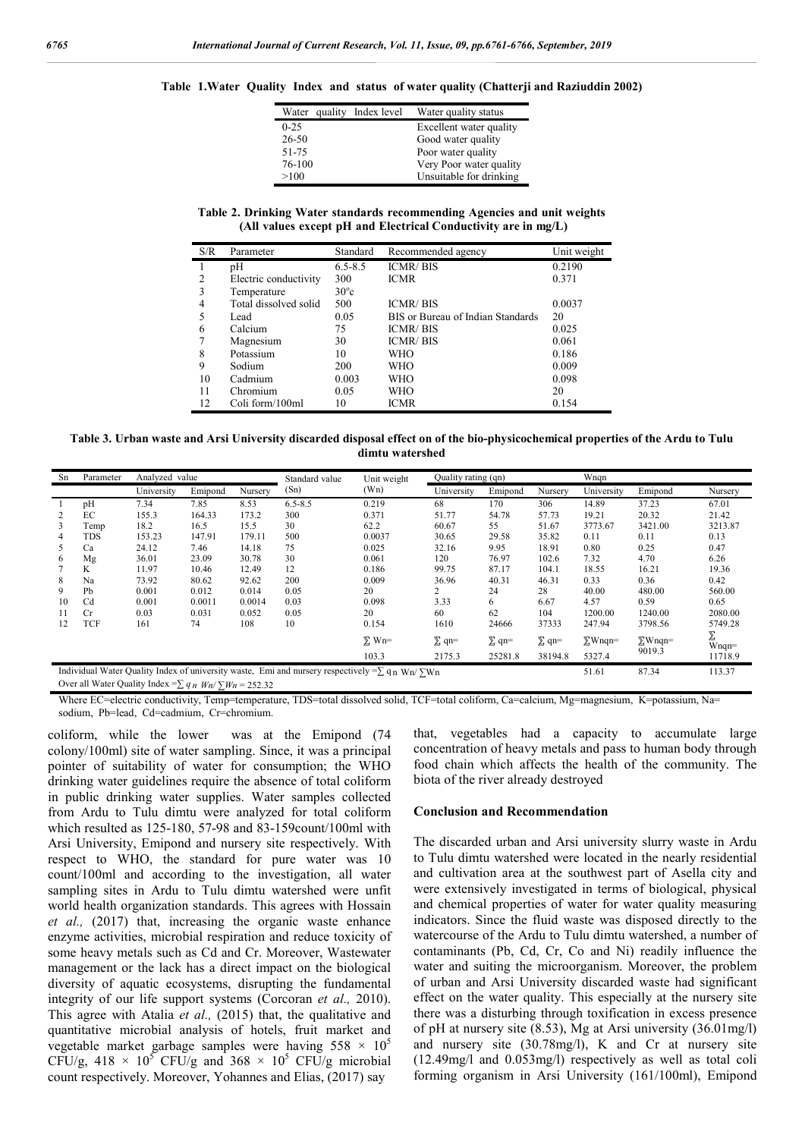|  |  |  |                                                                                                                                         | Table 1. Water Quality Index and status of water quality (Chatterji and Raziuddin 2002) |  |  |
|--|--|--|-----------------------------------------------------------------------------------------------------------------------------------------|-----------------------------------------------------------------------------------------|--|--|
|  |  |  | $\mathbf{W}^{T}$ , and the state $\mathbf{W}^{T}$ and $\mathbf{W}^{T}$ and $\mathbf{W}^{T}$ are stated in the state of $\mathbf{W}^{T}$ |                                                                                         |  |  |

| Water quality Index level | Water quality status    |
|---------------------------|-------------------------|
| $0 - 25$                  | Excellent water quality |
| $26 - 50$                 | Good water quality      |
| 51-75                     | Poor water quality      |
| 76-100                    | Very Poor water quality |
| >100                      | Unsuitable for drinking |

**Table 2. Drinking Water standards recommending Agencies and unit weights (All values except pH and Electrical Conductivity are in mg/L)**

| S/R | Parameter             | Standard       | Recommended agency                | Unit weight |
|-----|-----------------------|----------------|-----------------------------------|-------------|
|     | pH                    | $6.5 - 8.5$    | <b>ICMR/BIS</b>                   | 0.2190      |
| 2   | Electric conductivity | 300            | <b>ICMR</b>                       | 0.371       |
| 3   | Temperature           | $30^{\circ}$ c |                                   |             |
| 4   | Total dissolved solid | 500            | <b>ICMR/BIS</b>                   | 0.0037      |
| 5   | Lead                  | 0.05           | BIS or Bureau of Indian Standards | 20          |
| 6   | Calcium               | 75             | <b>ICMR/BIS</b>                   | 0.025       |
|     | Magnesium             | 30             | <b>ICMR/BIS</b>                   | 0.061       |
| 8   | Potassium             | 10             | <b>WHO</b>                        | 0.186       |
| 9   | Sodium                | 200            | <b>WHO</b>                        | 0.009       |
| 10  | Cadmium               | 0.003          | <b>WHO</b>                        | 0.098       |
| 11  | Chromium              | 0.05           | WHO                               | 20          |
| 12  | Coli form/100ml       | 10             | <b>ICMR</b>                       | 0.154       |

**Table 3. Urban waste and Arsi University discarded disposal effect on of the bio-physicochemical properties of the Ardu to Tulu dimtu watershed**

| Sn                                                                                                           | Parameter | Analyzed value |         |         | Standard value | Unit weight  |              | Quality rating (qn) |              | Wngn           |                |          |
|--------------------------------------------------------------------------------------------------------------|-----------|----------------|---------|---------|----------------|--------------|--------------|---------------------|--------------|----------------|----------------|----------|
|                                                                                                              |           | University     | Emipond | Nurserv | (Sn)           | (Wn)         | University   | Emipond             | Nursery      | University     | Emipond        | Nursery  |
|                                                                                                              | pH        | 7.34           | 7.85    | 8.53    | $6.5 - 8.5$    | 0.219        | 68           | 170                 | 306          | 14.89          | 37.23          | 67.01    |
| 2                                                                                                            | ЕC        | 155.3          | 164.33  | 173.2   | 300            | 0.371        | 51.77        | 54.78               | 57.73        | 19.21          | 20.32          | 21.42    |
| 3                                                                                                            | Temp      | 18.2           | 16.5    | 15.5    | 30             | 62.2         | 60.67        | 55                  | 51.67        | 3773.67        | 3421.00        | 3213.87  |
| 4                                                                                                            | TDS       | 153.23         | 147.91  | 179.11  | 500            | 0.0037       | 30.65        | 29.58               | 35.82        | 0.11           | 0.11           | 0.13     |
| 5                                                                                                            | Ca        | 24.12          | 7.46    | 14.18   | 75             | 0.025        | 32.16        | 9.95                | 18.91        | 0.80           | 0.25           | 0.47     |
| 6                                                                                                            | Mg        | 36.01          | 23.09   | 30.78   | 30             | 0.061        | 120          | 76.97               | 102.6        | 7.32           | 4.70           | 6.26     |
|                                                                                                              | K         | 11.97          | 10.46   | 12.49   | 12             | 0.186        | 99.75        | 87.17               | 104.1        | 18.55          | 16.21          | 19.36    |
| 8                                                                                                            | Na        | 73.92          | 80.62   | 92.62   | 200            | 0.009        | 36.96        | 40.31               | 46.31        | 0.33           | 0.36           | 0.42     |
| 9                                                                                                            | Pb        | 0.001          | 0.012   | 0.014   | 0.05           | 20           |              | 24                  | 28           | 40.00          | 480.00         | 560.00   |
| 10                                                                                                           | Cd        | 0.001          | 0.0011  | 0.0014  | 0.03           | 0.098        | 3.33         | 6                   | 6.67         | 4.57           | 0.59           | 0.65     |
| 11                                                                                                           | Cr        | 0.03           | 0.031   | 0.052   | 0.05           | 20           | 60           | 62                  | 104          | 1200.00        | 1240.00        | 2080.00  |
| 12                                                                                                           | TCF       | 161            | 74      | 108     | 10             | 0.154        | 1610         | 24666               | 37333        | 247.94         | 3798.56        | 5749.28  |
|                                                                                                              |           |                |         |         |                | $\Sigma$ Wn= | $\Sigma$ qn= | $\Sigma$ qn=        | $\Sigma$ qn= | $\Sigma$ Wnqn= | $\Sigma$ Wnqn= | $W$ nqn= |
|                                                                                                              |           |                |         |         |                | 103.3        | 2175.3       | 25281.8             | 38194.8      | 5327.4         | 9019.3         | 11718.9  |
| Individual Water Quality Index of university waste, Emi and nursery respectively = $\sum q_n w_n / \sum w_n$ |           |                |         |         |                | 51.61        | 87.34        | 113.37              |              |                |                |          |

Over all Water Quality Index = $\sum q_n$  *Wn*/ $\sum W_n$  = 252.32

Where EC=electric conductivity, Temp=temperature, TDS=total dissolved solid, TCF=total coliform, Ca=calcium, Mg=magnesium, K=potassium, Na= sodium, Pb=lead, Cd=cadmium, Cr=chromium.

coliform, while the lower was at the Emipond (74 colony/100ml) site of water sampling. Since, it was a principal pointer of suitability of water for consumption; the WHO drinking water guidelines require the absence of total coliform in public drinking water supplies. Water samples collected from Ardu to Tulu dimtu were analyzed for total coliform which resulted as 125-180, 57-98 and 83-159count/100ml with Arsi University, Emipond and nursery site respectively. With respect to WHO, the standard for pure water was 10 count/100ml and according to the investigation, all water sampling sites in Ardu to Tulu dimtu watershed were unfit world health organization standards. This agrees with Hossain *et al.,* (2017) that, increasing the organic waste enhance enzyme activities, microbial respiration and reduce toxicity of some heavy metals such as Cd and Cr. Moreover, Wastewater management or the lack has a direct impact on the biological diversity of aquatic ecosystems, disrupting the fundamental integrity of our life support systems (Corcoran *et al.,* 2010). This agree with Atalia *et al.,* (2015) that, the qualitative and quantitative microbial analysis of hotels, fruit market and vegetable market garbage samples were having  $558 \times 10^5$ CFU/g, 418  $\times$  10<sup>5</sup> CFU/g and 368  $\times$  10<sup>5</sup> CFU/g microbial count respectively. Moreover, Yohannes and Elias, (2017) say

that, vegetables had a capacity to accumulate large concentration of heavy metals and pass to human body through food chain which affects the health of the community. The biota of the river already destroyed

#### **Conclusion and Recommendation**

The discarded urban and Arsi university slurry waste in Ardu to Tulu dimtu watershed were located in the nearly residential and cultivation area at the southwest part of Asella city and were extensively investigated in terms of biological, physical and chemical properties of water for water quality measuring indicators. Since the fluid waste was disposed directly to the watercourse of the Ardu to Tulu dimtu watershed, a number of contaminants (Pb, Cd, Cr, Co and Ni) readily influence the water and suiting the microorganism. Moreover, the problem of urban and Arsi University discarded waste had significant effect on the water quality. This especially at the nursery site there was a disturbing through toxification in excess presence of pH at nursery site (8.53), Mg at Arsi university (36.01mg/l) and nursery site (30.78mg/l), K and Cr at nursery site (12.49mg/l and 0.053mg/l) respectively as well as total coli forming organism in Arsi University (161/100ml), Emipond